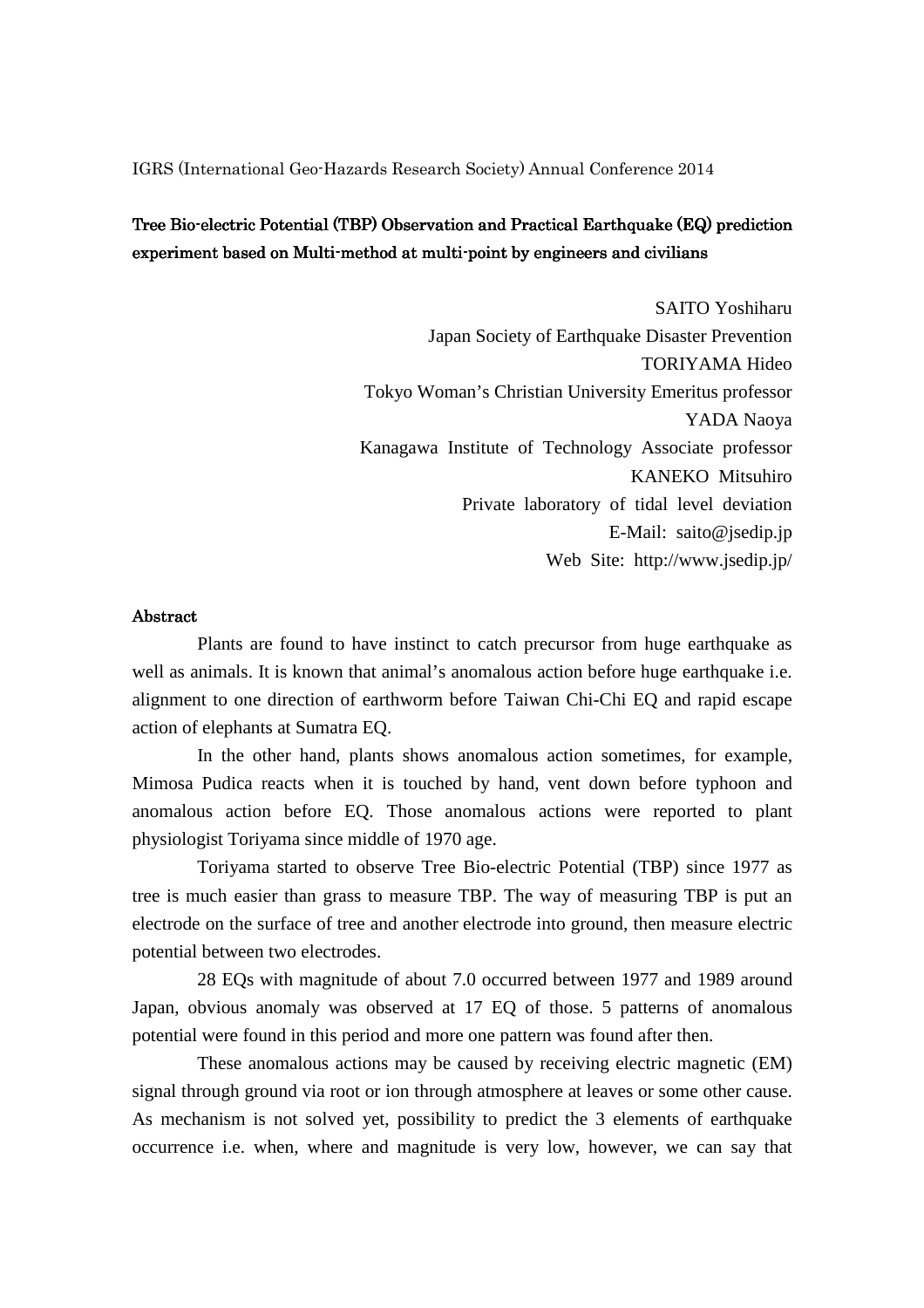IGRS (International Geo-Hazards Research Society) Annual Conference 2014

## Tree Bio-electric Potential (TBP) Observation and Practical Earthquake (EQ) prediction experiment based on Multi-method at multi-point by engineers and civilians

SAITO Yoshiharu Japan Society of Earthquake Disaster Prevention TORIYAMA Hideo Tokyo Woman's Christian University Emeritus professor YADA Naoya Kanagawa Institute of Technology Associate professor KANEKO Mitsuhiro Private laboratory of tidal level deviation E-Mail: saito@jsedip.jp Web Site: http://www.jsedip.jp/

## Abstract

 Plants are found to have instinct to catch precursor from huge earthquake as well as animals. It is known that animal's anomalous action before huge earthquake i.e. alignment to one direction of earthworm before Taiwan Chi-Chi EQ and rapid escape action of elephants at Sumatra EQ.

 In the other hand, plants shows anomalous action sometimes, for example, Mimosa Pudica reacts when it is touched by hand, vent down before typhoon and anomalous action before EQ. Those anomalous actions were reported to plant physiologist Toriyama since middle of 1970 age.

 Toriyama started to observe Tree Bio-electric Potential (TBP) since 1977 as tree is much easier than grass to measure TBP. The way of measuring TBP is put an electrode on the surface of tree and another electrode into ground, then measure electric potential between two electrodes.

 28 EQs with magnitude of about 7.0 occurred between 1977 and 1989 around Japan, obvious anomaly was observed at 17 EQ of those. 5 patterns of anomalous potential were found in this period and more one pattern was found after then.

 These anomalous actions may be caused by receiving electric magnetic (EM) signal through ground via root or ion through atmosphere at leaves or some other cause. As mechanism is not solved yet, possibility to predict the 3 elements of earthquake occurrence i.e. when, where and magnitude is very low, however, we can say that